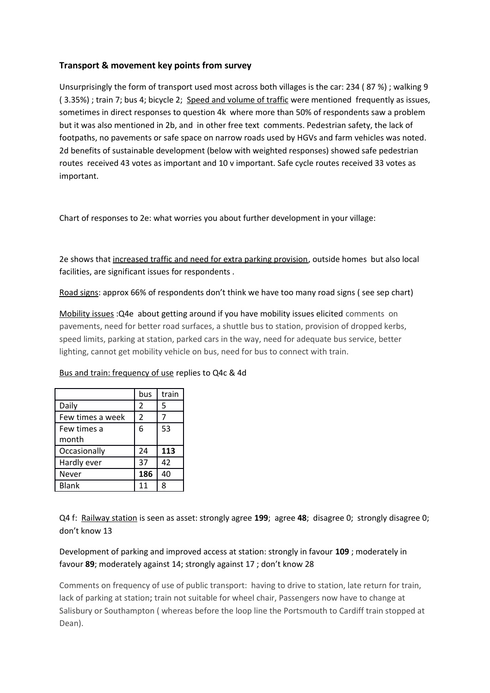## **Transport & movement key points from survey**

Unsurprisingly the form of transport used most across both villages is the car: 234 ( 87 %) ; walking 9 ( 3.35%) ; train 7; bus 4; bicycle 2; Speed and volume of traffic were mentioned frequently as issues, sometimes in direct responses to question 4k where more than 50% of respondents saw a problem but it was also mentioned in 2b, and in other free text comments. Pedestrian safety, the lack of footpaths, no pavements or safe space on narrow roads used by HGVs and farm vehicles was noted. 2d benefits of sustainable development (below with weighted responses) showed safe pedestrian routes received 43 votes as important and 10 v important. Safe cycle routes received 33 votes as important.

Chart of responses to 2e: what worries you about further development in your village:

2e shows that increased traffic and need for extra parking provision, outside homes but also local facilities, are significant issues for respondents .

Road signs: approx 66% of respondents don't think we have too many road signs ( see sep chart)

Mobility issues :Q4e about getting around if you have mobility issues elicited comments on pavements, need for better road surfaces, a shuttle bus to station, provision of dropped kerbs, speed limits, parking at station, parked cars in the way, need for adequate bus service, better lighting, cannot get mobility vehicle on bus, need for bus to connect with train.

|                  | bus | train |
|------------------|-----|-------|
| Daily            | 2   | 5     |
| Few times a week | 2   | 7     |
| Few times a      | 6   | 53    |
| month            |     |       |
| Occasionally     | 24  | 113   |
| Hardly ever      | 37  | 42    |
| Never            | 186 | 40    |
| Blank            | 11  | 8     |

## Bus and train: frequency of use replies to Q4c & 4d

Q4 f: Railway station is seen as asset: strongly agree **199**; agree **48**; disagree 0; strongly disagree 0; don't know 13

Development of parking and improved access at station: strongly in favour **109** ; moderately in favour **89**; moderately against 14; strongly against 17 ; don't know 28

Comments on frequency of use of public transport: having to drive to station, late return for train, lack of parking at station; train not suitable for wheel chair, Passengers now have to change at Salisbury or Southampton ( whereas before the loop line the Portsmouth to Cardiff train stopped at Dean).